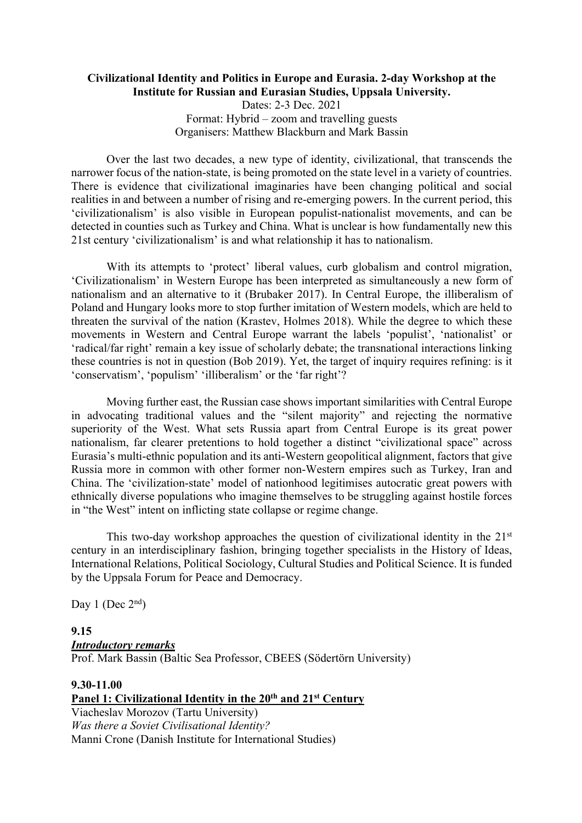#### **Civilizational Identity and Politics in Europe and Eurasia. 2-day Workshop at the Institute for Russian and Eurasian Studies, Uppsala University.**

Dates: 2-3 Dec. 2021 Format: Hybrid – zoom and travelling guests Organisers: Matthew Blackburn and Mark Bassin

Over the last two decades, a new type of identity, civilizational, that transcends the narrower focus of the nation-state, is being promoted on the state level in a variety of countries. There is evidence that civilizational imaginaries have been changing political and social realities in and between a number of rising and re-emerging powers. In the current period, this 'civilizationalism' is also visible in European populist-nationalist movements, and can be detected in counties such as Turkey and China. What is unclear is how fundamentally new this 21st century 'civilizationalism' is and what relationship it has to nationalism.

With its attempts to 'protect' liberal values, curb globalism and control migration, 'Civilizationalism' in Western Europe has been interpreted as simultaneously a new form of nationalism and an alternative to it (Brubaker 2017). In Central Europe, the illiberalism of Poland and Hungary looks more to stop further imitation of Western models, which are held to threaten the survival of the nation (Krastev, Holmes 2018). While the degree to which these movements in Western and Central Europe warrant the labels 'populist', 'nationalist' or 'radical/far right' remain a key issue of scholarly debate; the transnational interactions linking these countries is not in question (Bob 2019). Yet, the target of inquiry requires refining: is it 'conservatism', 'populism' 'illiberalism' or the 'far right'?

Moving further east, the Russian case shows important similarities with Central Europe in advocating traditional values and the "silent majority" and rejecting the normative superiority of the West. What sets Russia apart from Central Europe is its great power nationalism, far clearer pretentions to hold together a distinct "civilizational space" across Eurasia's multi-ethnic population and its anti-Western geopolitical alignment, factors that give Russia more in common with other former non-Western empires such as Turkey, Iran and China. The 'civilization-state' model of nationhood legitimises autocratic great powers with ethnically diverse populations who imagine themselves to be struggling against hostile forces in "the West" intent on inflicting state collapse or regime change.

This two-day workshop approaches the question of civilizational identity in the  $21<sup>st</sup>$ century in an interdisciplinary fashion, bringing together specialists in the History of Ideas, International Relations, Political Sociology, Cultural Studies and Political Science. It is funded by the Uppsala Forum for Peace and Democracy.

Day 1 (Dec  $2<sup>nd</sup>$ )

## **9.15** *Introductory remarks*

Prof. Mark Bassin (Baltic Sea Professor, CBEES (Södertörn University)

### **9.30-11.00 Panel 1: Civilizational Identity in the 20th and 21st Century** Viacheslav Morozov (Tartu University) *Was there a Soviet Civilisational Identity?*

Manni Crone (Danish Institute for International Studies)